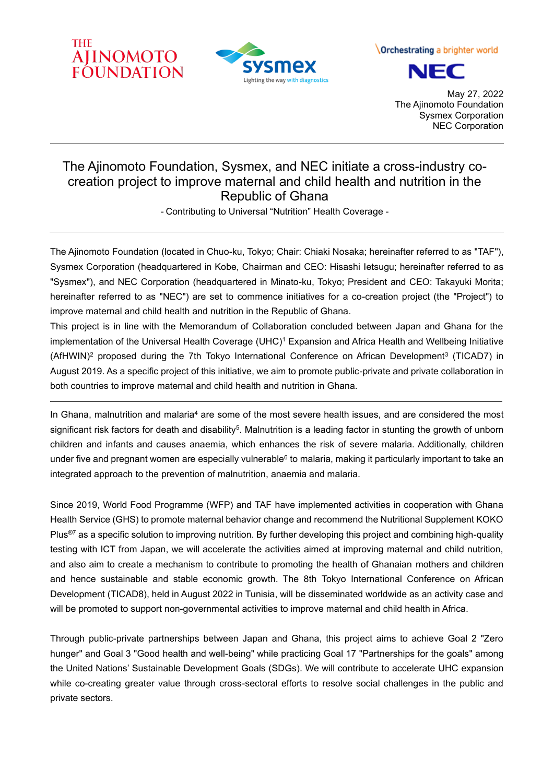



Orchestrating a brighter world



May 27, 2022 The Ajinomoto Foundation Sysmex Corporation NEC Corporation

# The Ajinomoto Foundation, Sysmex, and NEC initiate a cross-industry cocreation project to improve maternal and child health and nutrition in the Republic of Ghana

- Contributing to Universal "Nutrition" Health Coverage -

The Ajinomoto Foundation (located in Chuo-ku, Tokyo; Chair: Chiaki Nosaka; hereinafter referred to as "TAF"), Sysmex Corporation (headquartered in Kobe, Chairman and CEO: Hisashi Ietsugu; hereinafter referred to as "Sysmex"), and NEC Corporation (headquartered in Minato-ku, Tokyo; President and CEO: Takayuki Morita; hereinafter referred to as "NEC") are set to commence initiatives for a co-creation project (the "Project") to improve maternal and child health and nutrition in the Republic of Ghana.

This project is in line with the Memorandum of Collaboration concluded between Japan and Ghana for the implementation of the Universal Health Coverage (UHC)<sup>1</sup> Expansion and Africa Health and Wellbeing Initiative (AfHWIN)<sup>2</sup> proposed during the 7th Tokyo International Conference on African Development<sup>3</sup> (TICAD7) in August 2019. As a specific project of this initiative, we aim to promote public-private and private collaboration in both countries to improve maternal and child health and nutrition in Ghana.

In Ghana, malnutrition and malaria<sup>4</sup> are some of the most severe health issues, and are considered the most significant risk factors for death and disability<sup>5</sup>. Malnutrition is a leading factor in stunting the growth of unborn children and infants and causes anaemia, which enhances the risk of severe malaria. Additionally, children under five and pregnant women are especially vulnerable<sup>6</sup> to malaria, making it particularly important to take an integrated approach to the prevention of malnutrition, anaemia and malaria.

Since 2019, World Food Programme (WFP) and TAF have implemented activities in cooperation with Ghana Health Service (GHS) to promote maternal behavior change and recommend the Nutritional Supplement KOKO Plus®7 as a specific solution to improving nutrition. By further developing this project and combining high-quality testing with ICT from Japan, we will accelerate the activities aimed at improving maternal and child nutrition, and also aim to create a mechanism to contribute to promoting the health of Ghanaian mothers and children and hence sustainable and stable economic growth. The 8th Tokyo International Conference on African Development (TICAD8), held in August 2022 in Tunisia, will be disseminated worldwide as an activity case and will be promoted to support non-governmental activities to improve maternal and child health in Africa.

Through public-private partnerships between Japan and Ghana, this project aims to achieve Goal 2 "Zero hunger" and Goal 3 "Good health and well-being" while practicing Goal 17 "Partnerships for the goals" among the United Nations' Sustainable Development Goals (SDGs). We will contribute to accelerate UHC expansion while co-creating greater value through cross-sectoral efforts to resolve social challenges in the public and private sectors.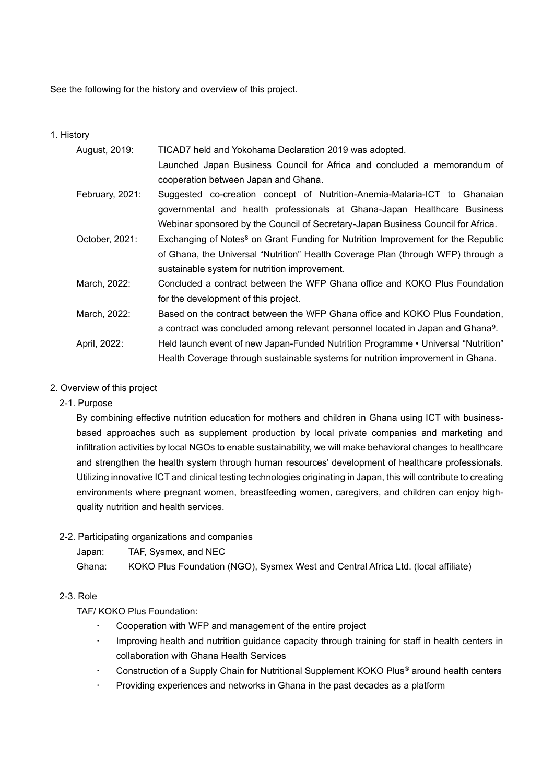See the following for the history and overview of this project.

#### 1. History

| August, 2019:   | TICAD7 held and Yokohama Declaration 2019 was adopted.                                       |  |  |  |
|-----------------|----------------------------------------------------------------------------------------------|--|--|--|
|                 | Launched Japan Business Council for Africa and concluded a memorandum of                     |  |  |  |
|                 | cooperation between Japan and Ghana.                                                         |  |  |  |
| February, 2021: | Suggested co-creation concept of Nutrition-Anemia-Malaria-ICT to Ghanaian                    |  |  |  |
|                 | governmental and health professionals at Ghana-Japan Healthcare Business                     |  |  |  |
|                 | Webinar sponsored by the Council of Secretary-Japan Business Council for Africa.             |  |  |  |
| October, 2021:  | Exchanging of Notes <sup>8</sup> on Grant Funding for Nutrition Improvement for the Republic |  |  |  |
|                 | of Ghana, the Universal "Nutrition" Health Coverage Plan (through WFP) through a             |  |  |  |
|                 | sustainable system for nutrition improvement.                                                |  |  |  |
| March, 2022:    | Concluded a contract between the WFP Ghana office and KOKO Plus Foundation                   |  |  |  |
|                 | for the development of this project.                                                         |  |  |  |
| March, 2022:    | Based on the contract between the WFP Ghana office and KOKO Plus Foundation,                 |  |  |  |
|                 | a contract was concluded among relevant personnel located in Japan and Ghana <sup>9</sup> .  |  |  |  |
| April, 2022:    | Held launch event of new Japan-Funded Nutrition Programme • Universal "Nutrition"            |  |  |  |
|                 | Health Coverage through sustainable systems for nutrition improvement in Ghana.              |  |  |  |

#### 2. Overview of this project

2-1. Purpose

By combining effective nutrition education for mothers and children in Ghana using ICT with businessbased approaches such as supplement production by local private companies and marketing and infiltration activities by local NGOs to enable sustainability, we will make behavioral changes to healthcare and strengthen the health system through human resources' development of healthcare professionals. Utilizing innovative ICT and clinical testing technologies originating in Japan, this will contribute to creating environments where pregnant women, breastfeeding women, caregivers, and children can enjoy highquality nutrition and health services.

#### 2-2. Participating organizations and companies

Japan: TAF, Sysmex, and NEC

Ghana: KOKO Plus Foundation (NGO), Sysmex West and Central Africa Ltd. (local affiliate)

## 2-3. Role

TAF/ KOKO Plus Foundation:

- Cooperation with WFP and management of the entire project
- Improving health and nutrition guidance capacity through training for staff in health centers in collaboration with Ghana Health Services
- Construction of a Supply Chain for Nutritional Supplement KOKO Plus® around health centers
- Providing experiences and networks in Ghana in the past decades as a platform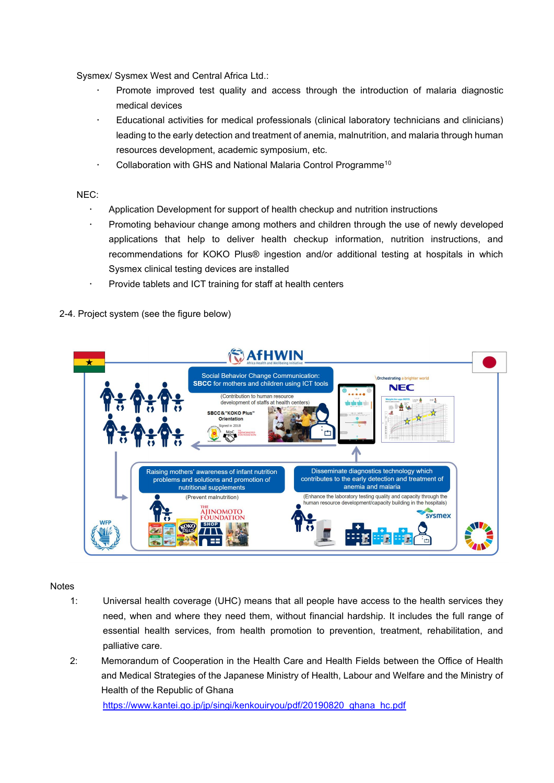Sysmex/ Sysmex West and Central Africa Ltd.:

- Promote improved test quality and access through the introduction of malaria diagnostic medical devices
- Educational activities for medical professionals (clinical laboratory technicians and clinicians) leading to the early detection and treatment of anemia, malnutrition, and malaria through human resources development, academic symposium, etc.
- Collaboration with GHS and National Malaria Control Programme<sup>10</sup>

NEC:

- Application Development for support of health checkup and nutrition instructions
- Promoting behaviour change among mothers and children through the use of newly developed applications that help to deliver health checkup information, nutrition instructions, and recommendations for KOKO Plus® ingestion and/or additional testing at hospitals in which Sysmex clinical testing devices are installed
- Provide tablets and ICT training for staff at health centers
- 2-4. Project system (see the figure below)

| ★ | <b>AfHWIN</b>                                                                                                                                                                                                                                                        |               |                                                                                                                                                     |  |
|---|----------------------------------------------------------------------------------------------------------------------------------------------------------------------------------------------------------------------------------------------------------------------|---------------|-----------------------------------------------------------------------------------------------------------------------------------------------------|--|
|   | Social Behavior Change Communication:<br><b>SBCC</b> for mothers and children using ICT tools<br>(Contribution to human resource<br>development of staffs at health centers)<br><b>SBCC&amp;"KOKO Plus"</b><br><b>Orientation</b><br>Signed in 2018<br>MOC AJINOMOTO | ter in Nation | Orchestrating a brighter world<br><b>NEC</b>                                                                                                        |  |
|   | Raising mothers' awareness of infant nutrition<br>problems and solutions and promotion of<br>nutritional supplements                                                                                                                                                 |               | Disseminate diagnostics technology which<br>contributes to the early detection and treatment of<br>anemia and malaria                               |  |
|   | (Prevent malnutrition)<br>THE<br><b>AIINOMOTO</b><br><b>FOUNDATIC</b>                                                                                                                                                                                                |               | (Enhance the laboratory testing quality and capacity through the<br>human resource development/capacity building in the hospitals)<br><b>sysmex</b> |  |

**Notes** 

- 1: Universal health coverage (UHC) means that all people have access to the health services they need, when and where they need them, without financial hardship. It includes the full range of essential health services, from health promotion to prevention, treatment, rehabilitation, and palliative care.
- 2: Memorandum of Cooperation in the Health Care and Health Fields between the Office of Health and Medical Strategies of the Japanese Ministry of Health, Labour and Welfare and the Ministry of Health of the Republic of Ghana

[https://www.kantei.go.jp/jp/singi/kenkouiryou/pdf/20190820\\_ghana\\_hc.pdf](https://www.kantei.go.jp/jp/singi/kenkouiryou/pdf/20190820_ghana_hc.pdf)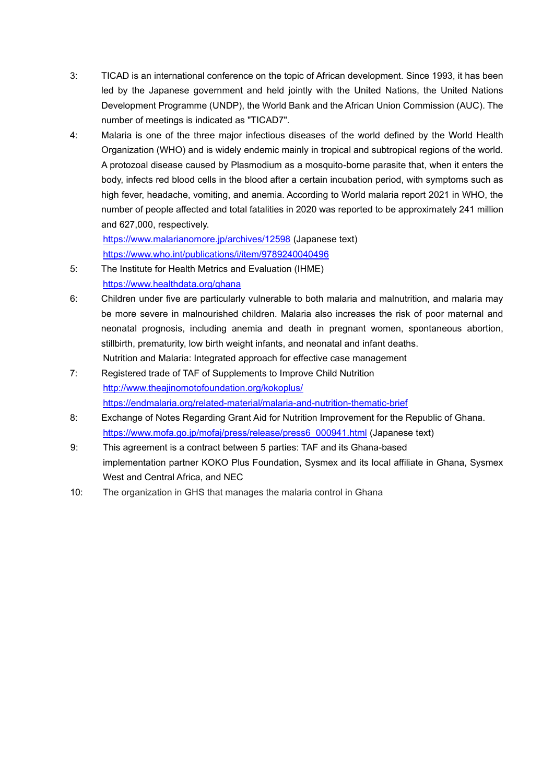- 3: TICAD is an international conference on the topic of African development. Since 1993, it has been led by the Japanese government and held jointly with the United Nations, the United Nations Development Programme (UNDP), the World Bank and the African Union Commission (AUC). The number of meetings is indicated as "TICAD7".
- 4: Malaria is one of the three major infectious diseases of the world defined by the World Health Organization (WHO) and is widely endemic mainly in tropical and subtropical regions of the world. A protozoal disease caused by Plasmodium as a mosquito-borne parasite that, when it enters the body, infects red blood cells in the blood after a certain incubation period, with symptoms such as high fever, headache, vomiting, and anemia. According to World malaria report 2021 in WHO, the number of people affected and total fatalities in 2020 was reported to be approximately 241 million and 627,000, respectively.

<https://www.malarianomore.jp/archives/12598> (Japanese text) <https://www.who.int/publications/i/item/9789240040496>

- 5: The Institute for Health Metrics and Evaluation (IHME) <https://www.healthdata.org/ghana>
- 6: Children under five are particularly vulnerable to both malaria and malnutrition, and malaria may be more severe in malnourished children. Malaria also increases the risk of poor maternal and neonatal prognosis, including anemia and death in pregnant women, spontaneous abortion, stillbirth, prematurity, low birth weight infants, and neonatal and infant deaths.
- Nutrition and Malaria: Integrated approach for effective case management
- 7: Registered trade of TAF of Supplements to Improve Child Nutrition <http://www.theajinomotofoundation.org/kokoplus/> <https://endmalaria.org/related-material/malaria-and-nutrition-thematic-brief>
- 8: Exchange of Notes Regarding Grant Aid for Nutrition Improvement for the Republic of Ghana. [https://www.mofa.go.jp/mofaj/press/release/press6\\_000941.html](https://www.mofa.go.jp/mofaj/press/release/press6_000941.html) (Japanese text)
- 9: This agreement is a contract between 5 parties: TAF and its Ghana-based implementation partner KOKO Plus Foundation, Sysmex and its local affiliate in Ghana, Sysmex West and Central Africa, and NEC
- 10: The organization in GHS that manages the malaria control in Ghana